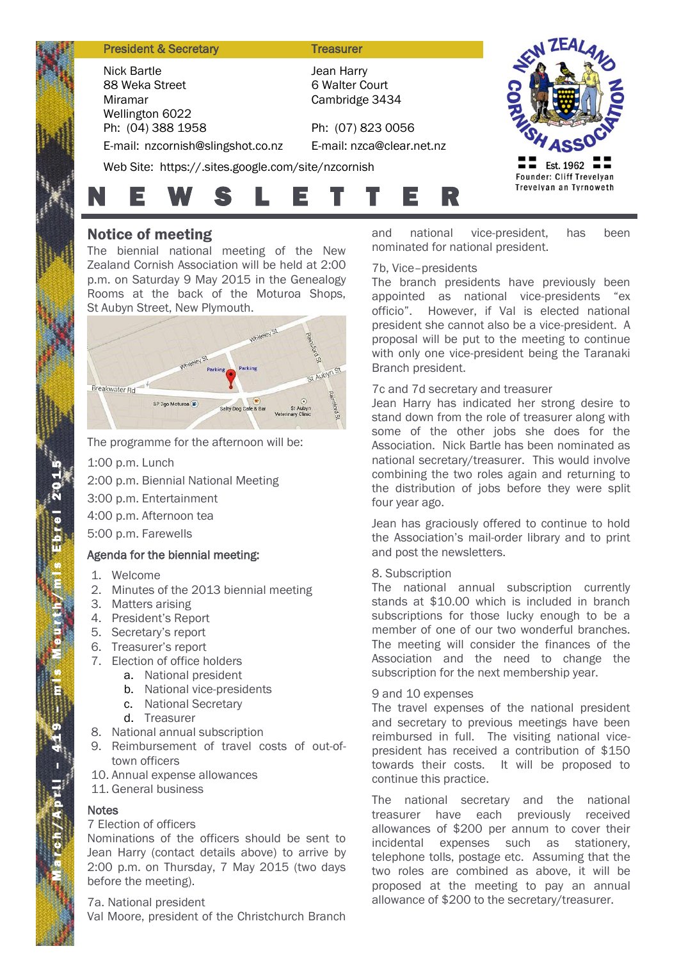### **President & Secretary Treasurer**

Nick Bartle 88 Weka Street Miramar Wellington 6022 Ph: (04) 388 1958 E-mail: nzcornish@slingshot.co.nz

Jean Harry 6 Walter Court Cambridge 3434

Ph: (07) 823 0056 E-mail: nzca@clear.net.nz

Web Site: https://.sites.google.com/site/nzcornish



# N E W S L E T T E R

# Notice of meeting

The biennial national meeting of the New Zealand Cornish Association will be held at 2:00 p.m. on Saturday 9 May 2015 in the Genealogy Rooms at the back of the Moturoa Shops, St Aubyn Street, New Plymouth.



The programme for the afternoon will be:

1:00 p.m. Lunch

2:00 p.m. Biennial National Meeting

3:00 p.m. Entertainment

4:00 p.m. Afternoon tea

5:00 p.m. Farewells

### Agenda for the biennial meeting:

- 1. Welcome
- 2. Minutes of the 2013 biennial meeting
- 3. Matters arising
- 4. President's Report
- 5. Secretary's report
- 6. Treasurer's report
- 7. Election of office holders
	- a. National president
	- b. National vice-presidents
	- c. National Secretary
	- d. Treasurer
- 8. National annual subscription
- 9. Reimbursement of travel costs of out-oftown officers
- 10. Annual expense allowances
- 11. General business

### **Notes**

M a r c h

 $/$  A p r.i. –  $41$ 

9 – m is Meurth/m is Ebrel 201

5

## 7 Election of officers

Nominations of the officers should be sent to Jean Harry (contact details above) to arrive by 2:00 p.m. on Thursday, 7 May 2015 (two days before the meeting).

### 7a. National president

Val Moore, president of the Christchurch Branch

and national vice-president, has been nominated for national president.

### 7b, Vice–presidents

The branch presidents have previously been appointed as national vice-presidents "ex officio". However, if Val is elected national president she cannot also be a vice-president. A proposal will be put to the meeting to continue with only one vice-president being the Taranaki Branch president.

### 7c and 7d secretary and treasurer

Jean Harry has indicated her strong desire to stand down from the role of treasurer along with some of the other jobs she does for the Association. Nick Bartle has been nominated as national secretary/treasurer. This would involve combining the two roles again and returning to the distribution of jobs before they were split four year ago.

Jean has graciously offered to continue to hold the Association's mail-order library and to print and post the newsletters.

### 8. Subscription

The national annual subscription currently stands at \$10.00 which is included in branch subscriptions for those lucky enough to be a member of one of our two wonderful branches. The meeting will consider the finances of the Association and the need to change the subscription for the next membership year.

### 9 and 10 expenses

The travel expenses of the national president and secretary to previous meetings have been reimbursed in full. The visiting national vicepresident has received a contribution of \$150 towards their costs. It will be proposed to continue this practice.

The national secretary and the national treasurer have each previously received allowances of \$200 per annum to cover their incidental expenses such as stationery, telephone tolls, postage etc. Assuming that the two roles are combined as above, it will be proposed at the meeting to pay an annual allowance of \$200 to the secretary/treasurer.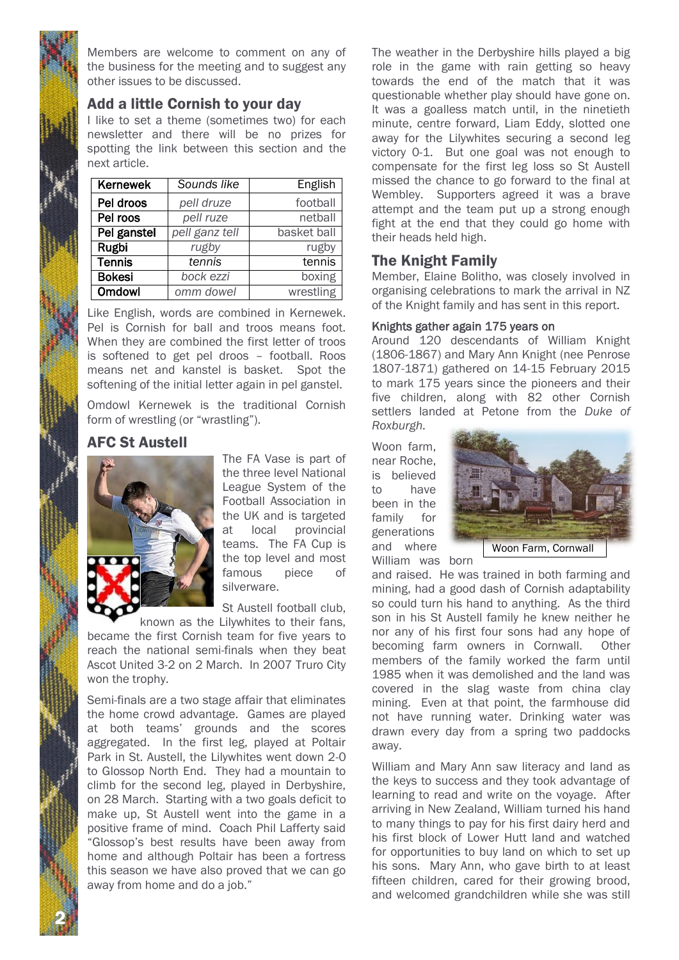Members are welcome to comment on any of the business for the meeting and to suggest any other issues to be discussed.

# Add a little Cornish to your day

I like to set a theme (sometimes two) for each newsletter and there will be no prizes for spotting the link between this section and the next article.

| Kernewek      | Sounds like    | English     |
|---------------|----------------|-------------|
| Pel droos     | pell druze     | football    |
| Pel roos      | pell ruze      | netball     |
| Pel ganstel   | pell ganz tell | basket ball |
| Rugbi         | rugby          | rugby       |
| <b>Tennis</b> | tennis         | tennis      |
| <b>Bokesi</b> | bock ezzi      | boxing      |
| <b>Omdowl</b> | omm dowel      | wrestling   |

Like English, words are combined in Kernewek. Pel is Cornish for ball and troos means foot. When they are combined the first letter of troos is softened to get pel droos – football. Roos means net and kanstel is basket. Spot the softening of the initial letter again in pel ganstel.

Omdowl Kernewek is the traditional Cornish form of wrestling (or "wrastling").

# AFC St Austell



2 N

The FA Vase is part of the three level National League System of the Football Association in the UK and is targeted at local provincial teams. The FA Cup is the top level and most famous piece of silverware.

St Austell football club,

known as the Lilywhites to their fans, became the first Cornish team for five years to reach the national semi-finals when they beat Ascot United 3-2 on 2 March. In 2007 Truro City won the trophy.

Semi-finals are a two stage affair that eliminates the home crowd advantage. Games are played at both teams' grounds and the scores aggregated. In the first leg, played at Poltair Park in St. Austell, the Lilywhites went down 2-0 to Glossop North End. They had a mountain to climb for the second leg, played in Derbyshire, on 28 March. Starting with a two goals deficit to make up, St Austell went into the game in a positive frame of mind. Coach Phil Lafferty said "Glossop's best results have been away from home and although Poltair has been a fortress this season we have also proved that we can go away from home and do a job."

The weather in the Derbyshire hills played a big role in the game with rain getting so heavy towards the end of the match that it was questionable whether play should have gone on. It was a goalless match until, in the ninetieth minute, centre forward, Liam Eddy, slotted one away for the Lilywhites securing a second leg victory 0-1. But one goal was not enough to compensate for the first leg loss so St Austell missed the chance to go forward to the final at Wembley. Supporters agreed it was a brave attempt and the team put up a strong enough fight at the end that they could go home with their heads held high.

# The Knight Family

Member, Elaine Bolitho, was closely involved in organising celebrations to mark the arrival in NZ of the Knight family and has sent in this report.

### Knights gather again 175 years on

Around 120 descendants of William Knight (1806-1867) and Mary Ann Knight (nee Penrose 1807-1871) gathered on 14-15 February 2015 to mark 175 years since the pioneers and their five children, along with 82 other Cornish settlers landed at Petone from the *Duke of Roxburgh.*

Woon farm, near Roche, is believed to have been in the family for generations and where



William was born

and raised. He was trained in both farming and mining, had a good dash of Cornish adaptability so could turn his hand to anything. As the third son in his St Austell family he knew neither he nor any of his first four sons had any hope of becoming farm owners in Cornwall. Other members of the family worked the farm until 1985 when it was demolished and the land was covered in the slag waste from china clay mining. Even at that point, the farmhouse did not have running water. Drinking water was drawn every day from a spring two paddocks away.

William and Mary Ann saw literacy and land as the keys to success and they took advantage of learning to read and write on the voyage. After arriving in New Zealand, William turned his hand to many things to pay for his first dairy herd and his first block of Lower Hutt land and watched for opportunities to buy land on which to set up his sons. Mary Ann, who gave birth to at least fifteen children, cared for their growing brood, and welcomed grandchildren while she was still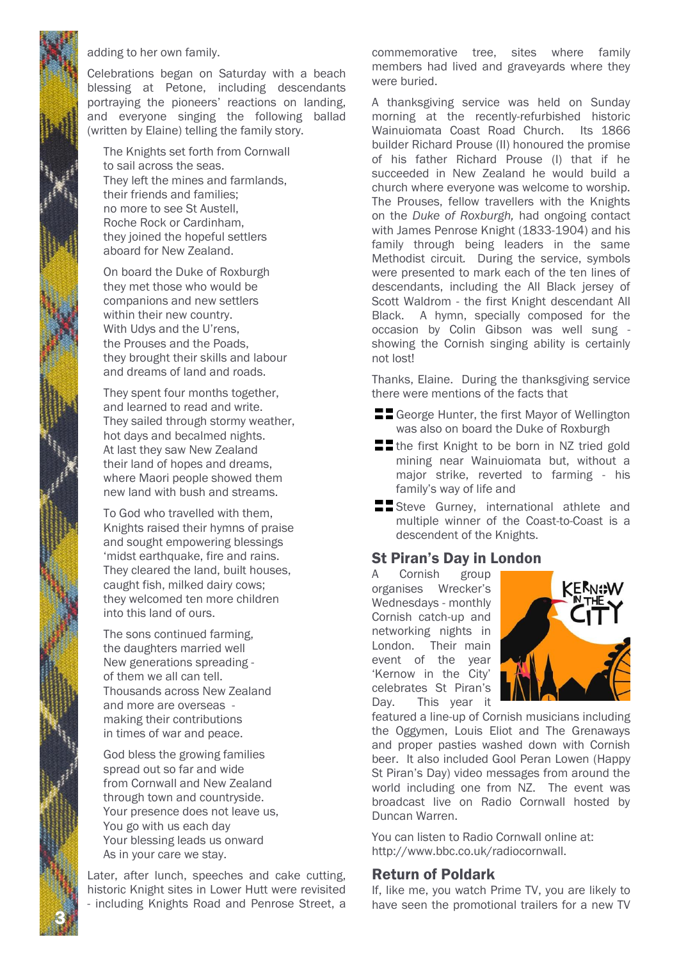# 3

N

# adding to her own family.

Celebrations began on Saturday with a beach blessing at Petone, including descendants portraying the pioneers' reactions on landing, and everyone singing the following ballad (written by Elaine) telling the family story.

The Knights set forth from Cornwall to sail across the seas. They left the mines and farmlands, their friends and families; no more to see St Austell, Roche Rock or Cardinham, they joined the hopeful settlers aboard for New Zealand.

On board the Duke of Roxburgh they met those who would be companions and new settlers within their new country. With Udys and the U'rens, the Prouses and the Poads, they brought their skills and labour and dreams of land and roads.

They spent four months together, and learned to read and write. They sailed through stormy weather, hot days and becalmed nights. At last they saw New Zealand their land of hopes and dreams, where Maori people showed them new land with bush and streams.

To God who travelled with them, Knights raised their hymns of praise and sought empowering blessings 'midst earthquake, fire and rains. They cleared the land, built houses, caught fish, milked dairy cows; they welcomed ten more children into this land of ours.

The sons continued farming, the daughters married well New generations spreading of them we all can tell. Thousands across New Zealand and more are overseas making their contributions in times of war and peace.

God bless the growing families spread out so far and wide from Cornwall and New Zealand through town and countryside. Your presence does not leave us, You go with us each day Your blessing leads us onward As in your care we stay.

Later, after lunch, speeches and cake cutting, historic Knight sites in Lower Hutt were revisited - including Knights Road and Penrose Street, a commemorative tree, sites where family members had lived and graveyards where they were buried.

A thanksgiving service was held on Sunday morning at the recently-refurbished historic Wainuiomata Coast Road Church. Its 1866 builder Richard Prouse (II) honoured the promise of his father Richard Prouse (I) that if he succeeded in New Zealand he would build a church where everyone was welcome to worship. The Prouses, fellow travellers with the Knights on the *Duke of Roxburgh,* had ongoing contact with James Penrose Knight (1833-1904) and his family through being leaders in the same Methodist circuit*.* During the service, symbols were presented to mark each of the ten lines of descendants, including the All Black jersey of Scott Waldrom - the first Knight descendant All Black. A hymn, specially composed for the occasion by Colin Gibson was well sung showing the Cornish singing ability is certainly not lost!

Thanks, Elaine. During the thanksgiving service there were mentions of the facts that

- $\blacksquare$  George Hunter, the first Mayor of Wellington was also on board the Duke of Roxburgh
- **the first Knight to be born in NZ tried gold** mining near Wainuiomata but, without a major strike, reverted to farming - his family's way of life and
- **Steve Gurney, international athlete and** multiple winner of the Coast-to-Coast is a descendent of the Knights.

# St Piran's Day in London

A Cornish group organises Wrecker's Wednesdays - monthly Cornish catch-up and networking nights in London. Their main event of the year 'Kernow in the City' celebrates St Piran's Day. This year it



featured a line-up of Cornish musicians including the Oggymen, Louis Eliot and The Grenaways and proper pasties washed down with Cornish beer. It also included Gool Peran Lowen (Happy St Piran's Day) video messages from around the world including one from NZ. The event was broadcast live on Radio Cornwall hosted by Duncan Warren.

You can listen to Radio Cornwall online at: http://www.bbc.co.uk/radiocornwall.

# Return of Poldark

If, like me, you watch Prime TV, you are likely to have seen the promotional trailers for a new TV